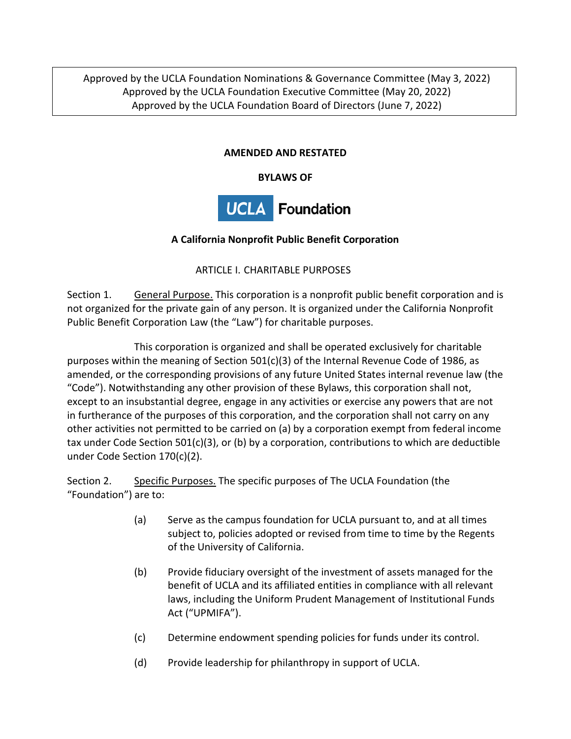Approved by the UCLA Foundation Nominations & Governance Committee (May 3, 2022) Approved by the UCLA Foundation Executive Committee (May 20, 2022) Approved by the UCLA Foundation Board of Directors (June 7, 2022)

### **AMENDED AND RESTATED**

#### **BYLAWS OF**



### **A California Nonprofit Public Benefit Corporation**

ARTICLE I. CHARITABLE PURPOSES

Section 1. General Purpose. This corporation is a nonprofit public benefit corporation and is not organized for the private gain of any person. It is organized under the California Nonprofit Public Benefit Corporation Law (the "Law") for charitable purposes.

This corporation is organized and shall be operated exclusively for charitable purposes within the meaning of Section  $501(c)(3)$  of the Internal Revenue Code of 1986, as amended, or the corresponding provisions of any future United States internal revenue law (the "Code"). Notwithstanding any other provision of these Bylaws, this corporation shall not, except to an insubstantial degree, engage in any activities or exercise any powers that are not in furtherance of the purposes of this corporation, and the corporation shall not carry on any other activities not permitted to be carried on (a) by a corporation exempt from federal income tax under Code Section 501(c)(3), or (b) by a corporation, contributions to which are deductible under Code Section 170(c)(2).

Section 2. Specific Purposes. The specific purposes of The UCLA Foundation (the "Foundation") are to:

- (a) Serve as the campus foundation for UCLA pursuant to, and at all times subject to, policies adopted or revised from time to time by the Regents of the University of California.
- (b) Provide fiduciary oversight of the investment of assets managed for the benefit of UCLA and its affiliated entities in compliance with all relevant laws, including the Uniform Prudent Management of Institutional Funds Act ("UPMIFA").
- (c) Determine endowment spending policies for funds under its control.
- (d) Provide leadership for philanthropy in support of UCLA.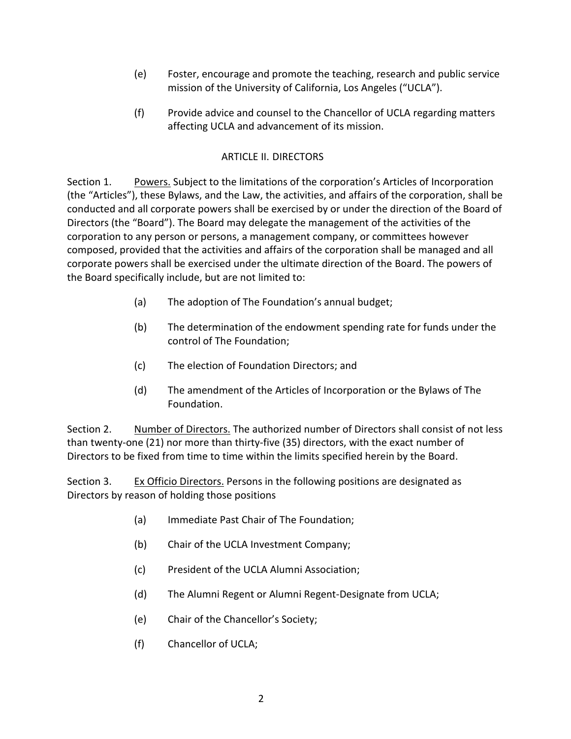- (e) Foster, encourage and promote the teaching, research and public service mission of the University of California, Los Angeles ("UCLA").
- (f) Provide advice and counsel to the Chancellor of UCLA regarding matters affecting UCLA and advancement of its mission.

## ARTICLE II. DIRECTORS

Section 1. Powers. Subject to the limitations of the corporation's Articles of Incorporation (the "Articles"), these Bylaws, and the Law, the activities, and affairs of the corporation, shall be conducted and all corporate powers shall be exercised by or under the direction of the Board of Directors (the "Board"). The Board may delegate the management of the activities of the corporation to any person or persons, a management company, or committees however composed, provided that the activities and affairs of the corporation shall be managed and all corporate powers shall be exercised under the ultimate direction of the Board. The powers of the Board specifically include, but are not limited to:

- (a) The adoption of The Foundation's annual budget;
- (b) The determination of the endowment spending rate for funds under the control of The Foundation;
- (c) The election of Foundation Directors; and
- (d) The amendment of the Articles of Incorporation or the Bylaws of The Foundation.

Section 2. Number of Directors. The authorized number of Directors shall consist of not less than twenty-one (21) nor more than thirty-five (35) directors, with the exact number of Directors to be fixed from time to time within the limits specified herein by the Board.

Section 3. Ex Officio Directors. Persons in the following positions are designated as Directors by reason of holding those positions

- (a) Immediate Past Chair of The Foundation;
- (b) Chair of the UCLA Investment Company;
- (c) President of the UCLA Alumni Association;
- (d) The Alumni Regent or Alumni Regent-Designate from UCLA;
- (e) Chair of the Chancellor's Society;
- (f) Chancellor of UCLA;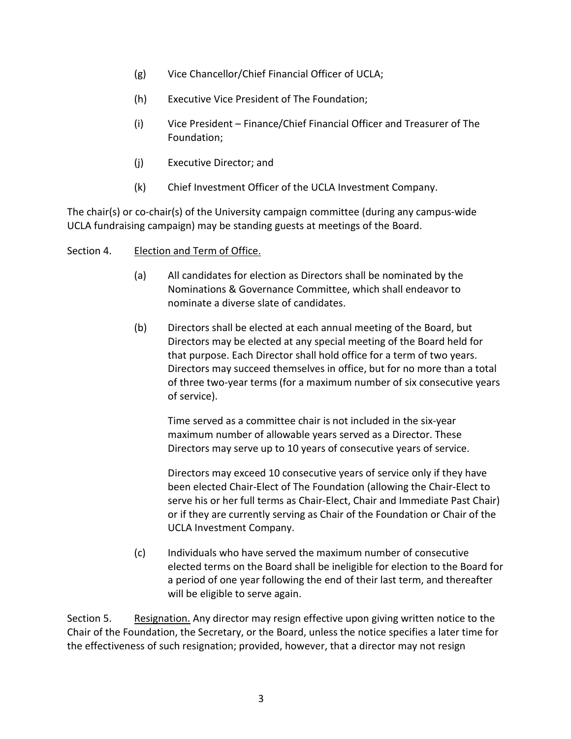- (g) Vice Chancellor/Chief Financial Officer of UCLA;
- (h) Executive Vice President of The Foundation;
- (i) Vice President Finance/Chief Financial Officer and Treasurer of The Foundation;
- (j) Executive Director; and
- (k) Chief Investment Officer of the UCLA Investment Company.

The chair(s) or co-chair(s) of the University campaign committee (during any campus-wide UCLA fundraising campaign) may be standing guests at meetings of the Board.

#### Section 4. Election and Term of Office.

- (a) All candidates for election as Directors shall be nominated by the Nominations & Governance Committee, which shall endeavor to nominate a diverse slate of candidates.
- (b) Directors shall be elected at each annual meeting of the Board, but Directors may be elected at any special meeting of the Board held for that purpose. Each Director shall hold office for a term of two years. Directors may succeed themselves in office, but for no more than a total of three two-year terms (for a maximum number of six consecutive years of service).

Time served as a committee chair is not included in the six-year maximum number of allowable years served as a Director. These Directors may serve up to 10 years of consecutive years of service.

Directors may exceed 10 consecutive years of service only if they have been elected Chair-Elect of The Foundation (allowing the Chair-Elect to serve his or her full terms as Chair-Elect, Chair and Immediate Past Chair) or if they are currently serving as Chair of the Foundation or Chair of the UCLA Investment Company.

(c) Individuals who have served the maximum number of consecutive elected terms on the Board shall be ineligible for election to the Board for a period of one year following the end of their last term, and thereafter will be eligible to serve again.

Section 5. Resignation. Any director may resign effective upon giving written notice to the Chair of the Foundation, the Secretary, or the Board, unless the notice specifies a later time for the effectiveness of such resignation; provided, however, that a director may not resign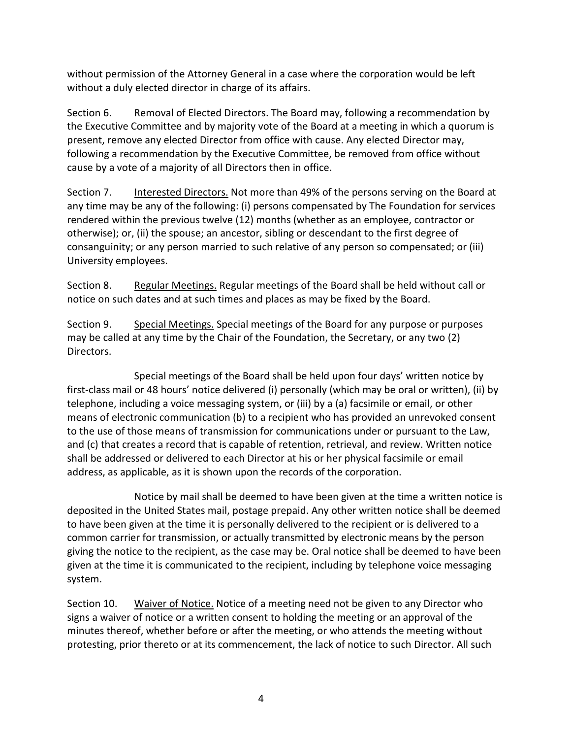without permission of the Attorney General in a case where the corporation would be left without a duly elected director in charge of its affairs.

Section 6. Removal of Elected Directors. The Board may, following a recommendation by the Executive Committee and by majority vote of the Board at a meeting in which a quorum is present, remove any elected Director from office with cause. Any elected Director may, following a recommendation by the Executive Committee, be removed from office without cause by a vote of a majority of all Directors then in office.

Section 7. Interested Directors. Not more than 49% of the persons serving on the Board at any time may be any of the following: (i) persons compensated by The Foundation for services rendered within the previous twelve (12) months (whether as an employee, contractor or otherwise); or, (ii) the spouse; an ancestor, sibling or descendant to the first degree of consanguinity; or any person married to such relative of any person so compensated; or (iii) University employees.

Section 8. Regular Meetings. Regular meetings of the Board shall be held without call or notice on such dates and at such times and places as may be fixed by the Board.

Section 9. Special Meetings. Special meetings of the Board for any purpose or purposes may be called at any time by the Chair of the Foundation, the Secretary, or any two (2) Directors.

Special meetings of the Board shall be held upon four days' written notice by first-class mail or 48 hours' notice delivered (i) personally (which may be oral or written), (ii) by telephone, including a voice messaging system, or (iii) by a (a) facsimile or email, or other means of electronic communication (b) to a recipient who has provided an unrevoked consent to the use of those means of transmission for communications under or pursuant to the Law, and (c) that creates a record that is capable of retention, retrieval, and review. Written notice shall be addressed or delivered to each Director at his or her physical facsimile or email address, as applicable, as it is shown upon the records of the corporation.

Notice by mail shall be deemed to have been given at the time a written notice is deposited in the United States mail, postage prepaid. Any other written notice shall be deemed to have been given at the time it is personally delivered to the recipient or is delivered to a common carrier for transmission, or actually transmitted by electronic means by the person giving the notice to the recipient, as the case may be. Oral notice shall be deemed to have been given at the time it is communicated to the recipient, including by telephone voice messaging system.

Section 10. Waiver of Notice. Notice of a meeting need not be given to any Director who signs a waiver of notice or a written consent to holding the meeting or an approval of the minutes thereof, whether before or after the meeting, or who attends the meeting without protesting, prior thereto or at its commencement, the lack of notice to such Director. All such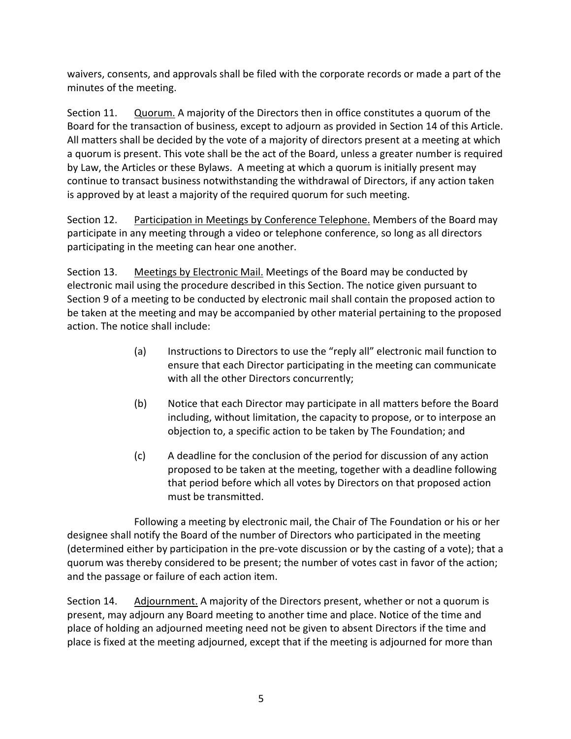waivers, consents, and approvals shall be filed with the corporate records or made a part of the minutes of the meeting.

Section 11. Quorum. A majority of the Directors then in office constitutes a quorum of the Board for the transaction of business, except to adjourn as provided in Section 14 of this Article. All matters shall be decided by the vote of a majority of directors present at a meeting at which a quorum is present. This vote shall be the act of the Board, unless a greater number is required by Law, the Articles or these Bylaws. A meeting at which a quorum is initially present may continue to transact business notwithstanding the withdrawal of Directors, if any action taken is approved by at least a majority of the required quorum for such meeting.

Section 12. Participation in Meetings by Conference Telephone. Members of the Board may participate in any meeting through a video or telephone conference, so long as all directors participating in the meeting can hear one another.

Section 13. Meetings by Electronic Mail. Meetings of the Board may be conducted by electronic mail using the procedure described in this Section. The notice given pursuant to Section 9 of a meeting to be conducted by electronic mail shall contain the proposed action to be taken at the meeting and may be accompanied by other material pertaining to the proposed action. The notice shall include:

- (a) Instructions to Directors to use the "reply all" electronic mail function to ensure that each Director participating in the meeting can communicate with all the other Directors concurrently;
- (b) Notice that each Director may participate in all matters before the Board including, without limitation, the capacity to propose, or to interpose an objection to, a specific action to be taken by The Foundation; and
- (c) A deadline for the conclusion of the period for discussion of any action proposed to be taken at the meeting, together with a deadline following that period before which all votes by Directors on that proposed action must be transmitted.

Following a meeting by electronic mail, the Chair of The Foundation or his or her designee shall notify the Board of the number of Directors who participated in the meeting (determined either by participation in the pre-vote discussion or by the casting of a vote); that a quorum was thereby considered to be present; the number of votes cast in favor of the action; and the passage or failure of each action item.

Section 14. Adjournment. A majority of the Directors present, whether or not a quorum is present, may adjourn any Board meeting to another time and place. Notice of the time and place of holding an adjourned meeting need not be given to absent Directors if the time and place is fixed at the meeting adjourned, except that if the meeting is adjourned for more than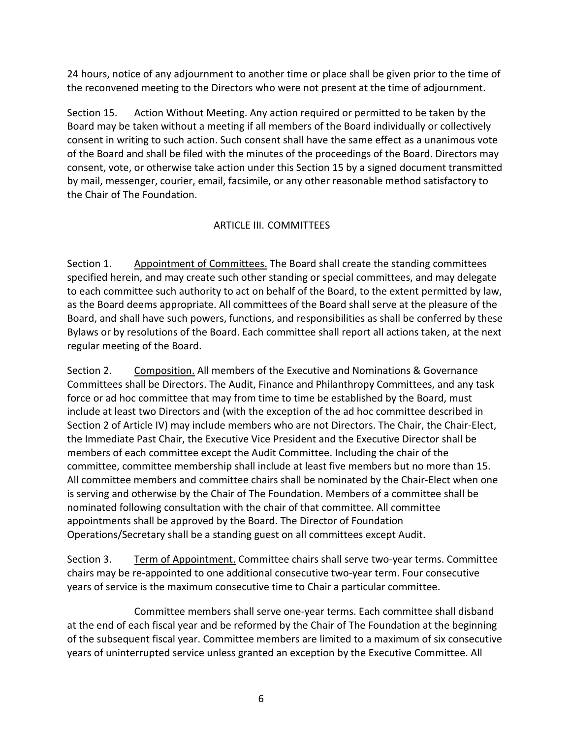24 hours, notice of any adjournment to another time or place shall be given prior to the time of the reconvened meeting to the Directors who were not present at the time of adjournment.

Section 15. Action Without Meeting. Any action required or permitted to be taken by the Board may be taken without a meeting if all members of the Board individually or collectively consent in writing to such action. Such consent shall have the same effect as a unanimous vote of the Board and shall be filed with the minutes of the proceedings of the Board. Directors may consent, vote, or otherwise take action under this Section 15 by a signed document transmitted by mail, messenger, courier, email, facsimile, or any other reasonable method satisfactory to the Chair of The Foundation.

# ARTICLE III. COMMITTEES

Section 1. Appointment of Committees. The Board shall create the standing committees specified herein, and may create such other standing or special committees, and may delegate to each committee such authority to act on behalf of the Board, to the extent permitted by law, as the Board deems appropriate. All committees of the Board shall serve at the pleasure of the Board, and shall have such powers, functions, and responsibilities as shall be conferred by these Bylaws or by resolutions of the Board. Each committee shall report all actions taken, at the next regular meeting of the Board.

Section 2. Composition. All members of the Executive and Nominations & Governance Committees shall be Directors. The Audit, Finance and Philanthropy Committees, and any task force or ad hoc committee that may from time to time be established by the Board, must include at least two Directors and (with the exception of the ad hoc committee described in Section 2 of Article IV) may include members who are not Directors. The Chair, the Chair-Elect, the Immediate Past Chair, the Executive Vice President and the Executive Director shall be members of each committee except the Audit Committee. Including the chair of the committee, committee membership shall include at least five members but no more than 15. All committee members and committee chairs shall be nominated by the Chair-Elect when one is serving and otherwise by the Chair of The Foundation. Members of a committee shall be nominated following consultation with the chair of that committee. All committee appointments shall be approved by the Board. The Director of Foundation Operations/Secretary shall be a standing guest on all committees except Audit.

Section 3. Term of Appointment. Committee chairs shall serve two-year terms. Committee chairs may be re-appointed to one additional consecutive two-year term. Four consecutive years of service is the maximum consecutive time to Chair a particular committee.

Committee members shall serve one-year terms. Each committee shall disband at the end of each fiscal year and be reformed by the Chair of The Foundation at the beginning of the subsequent fiscal year. Committee members are limited to a maximum of six consecutive years of uninterrupted service unless granted an exception by the Executive Committee. All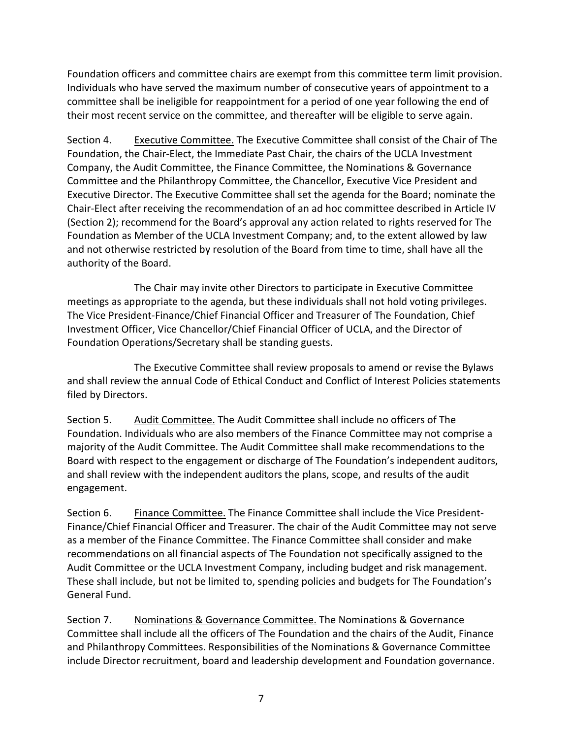Foundation officers and committee chairs are exempt from this committee term limit provision. Individuals who have served the maximum number of consecutive years of appointment to a committee shall be ineligible for reappointment for a period of one year following the end of their most recent service on the committee, and thereafter will be eligible to serve again.

Section 4. Executive Committee. The Executive Committee shall consist of the Chair of The Foundation, the Chair-Elect, the Immediate Past Chair, the chairs of the UCLA Investment Company, the Audit Committee, the Finance Committee, the Nominations & Governance Committee and the Philanthropy Committee, the Chancellor, Executive Vice President and Executive Director. The Executive Committee shall set the agenda for the Board; nominate the Chair-Elect after receiving the recommendation of an ad hoc committee described in Article IV (Section 2); recommend for the Board's approval any action related to rights reserved for The Foundation as Member of the UCLA Investment Company; and, to the extent allowed by law and not otherwise restricted by resolution of the Board from time to time, shall have all the authority of the Board.

The Chair may invite other Directors to participate in Executive Committee meetings as appropriate to the agenda, but these individuals shall not hold voting privileges. The Vice President-Finance/Chief Financial Officer and Treasurer of The Foundation, Chief Investment Officer, Vice Chancellor/Chief Financial Officer of UCLA, and the Director of Foundation Operations/Secretary shall be standing guests.

The Executive Committee shall review proposals to amend or revise the Bylaws and shall review the annual Code of Ethical Conduct and Conflict of Interest Policies statements filed by Directors.

Section 5. Audit Committee. The Audit Committee shall include no officers of The Foundation. Individuals who are also members of the Finance Committee may not comprise a majority of the Audit Committee. The Audit Committee shall make recommendations to the Board with respect to the engagement or discharge of The Foundation's independent auditors, and shall review with the independent auditors the plans, scope, and results of the audit engagement.

Section 6. Finance Committee. The Finance Committee shall include the Vice President-Finance/Chief Financial Officer and Treasurer. The chair of the Audit Committee may not serve as a member of the Finance Committee. The Finance Committee shall consider and make recommendations on all financial aspects of The Foundation not specifically assigned to the Audit Committee or the UCLA Investment Company, including budget and risk management. These shall include, but not be limited to, spending policies and budgets for The Foundation's General Fund.

Section 7. Nominations & Governance Committee. The Nominations & Governance Committee shall include all the officers of The Foundation and the chairs of the Audit, Finance and Philanthropy Committees. Responsibilities of the Nominations & Governance Committee include Director recruitment, board and leadership development and Foundation governance.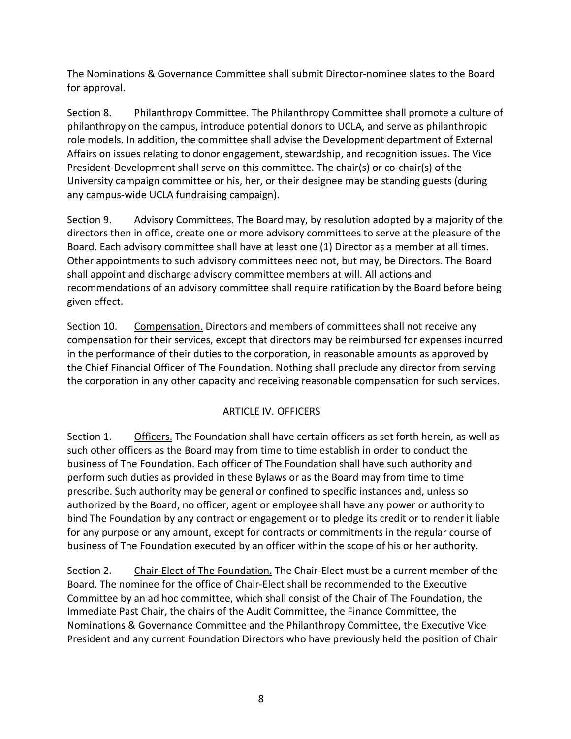The Nominations & Governance Committee shall submit Director-nominee slates to the Board for approval.

Section 8. Philanthropy Committee. The Philanthropy Committee shall promote a culture of philanthropy on the campus, introduce potential donors to UCLA, and serve as philanthropic role models. In addition, the committee shall advise the Development department of External Affairs on issues relating to donor engagement, stewardship, and recognition issues. The Vice President-Development shall serve on this committee. The chair(s) or co-chair(s) of the University campaign committee or his, her, or their designee may be standing guests (during any campus-wide UCLA fundraising campaign).

Section 9. Advisory Committees. The Board may, by resolution adopted by a majority of the directors then in office, create one or more advisory committees to serve at the pleasure of the Board. Each advisory committee shall have at least one (1) Director as a member at all times. Other appointments to such advisory committees need not, but may, be Directors. The Board shall appoint and discharge advisory committee members at will. All actions and recommendations of an advisory committee shall require ratification by the Board before being given effect.

Section 10. Compensation. Directors and members of committees shall not receive any compensation for their services, except that directors may be reimbursed for expenses incurred in the performance of their duties to the corporation, in reasonable amounts as approved by the Chief Financial Officer of The Foundation. Nothing shall preclude any director from serving the corporation in any other capacity and receiving reasonable compensation for such services.

## ARTICLE IV. OFFICERS

Section 1. Officers. The Foundation shall have certain officers as set forth herein, as well as such other officers as the Board may from time to time establish in order to conduct the business of The Foundation. Each officer of The Foundation shall have such authority and perform such duties as provided in these Bylaws or as the Board may from time to time prescribe. Such authority may be general or confined to specific instances and, unless so authorized by the Board, no officer, agent or employee shall have any power or authority to bind The Foundation by any contract or engagement or to pledge its credit or to render it liable for any purpose or any amount, except for contracts or commitments in the regular course of business of The Foundation executed by an officer within the scope of his or her authority.

Section 2. Chair-Elect of The Foundation. The Chair-Elect must be a current member of the Board. The nominee for the office of Chair-Elect shall be recommended to the Executive Committee by an ad hoc committee, which shall consist of the Chair of The Foundation, the Immediate Past Chair, the chairs of the Audit Committee, the Finance Committee, the Nominations & Governance Committee and the Philanthropy Committee, the Executive Vice President and any current Foundation Directors who have previously held the position of Chair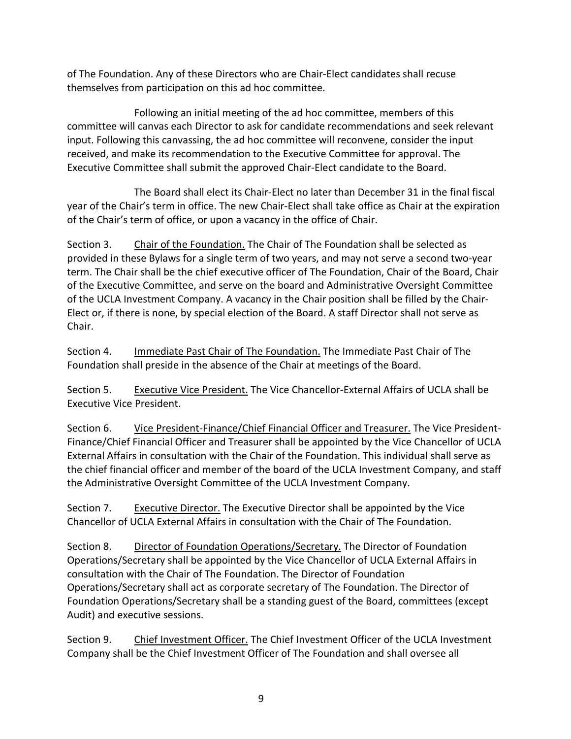of The Foundation. Any of these Directors who are Chair-Elect candidates shall recuse themselves from participation on this ad hoc committee.

Following an initial meeting of the ad hoc committee, members of this committee will canvas each Director to ask for candidate recommendations and seek relevant input. Following this canvassing, the ad hoc committee will reconvene, consider the input received, and make its recommendation to the Executive Committee for approval. The Executive Committee shall submit the approved Chair-Elect candidate to the Board.

 The Board shall elect its Chair-Elect no later than December 31 in the final fiscal year of the Chair's term in office. The new Chair-Elect shall take office as Chair at the expiration of the Chair's term of office, or upon a vacancy in the office of Chair.

Section 3. Chair of the Foundation. The Chair of The Foundation shall be selected as provided in these Bylaws for a single term of two years, and may not serve a second two-year term. The Chair shall be the chief executive officer of The Foundation, Chair of the Board, Chair of the Executive Committee, and serve on the board and Administrative Oversight Committee of the UCLA Investment Company. A vacancy in the Chair position shall be filled by the Chair-Elect or, if there is none, by special election of the Board. A staff Director shall not serve as Chair.

Section 4. Immediate Past Chair of The Foundation. The Immediate Past Chair of The Foundation shall preside in the absence of the Chair at meetings of the Board.

Section 5. Executive Vice President. The Vice Chancellor-External Affairs of UCLA shall be Executive Vice President.

Section 6. Vice President-Finance/Chief Financial Officer and Treasurer. The Vice President-Finance/Chief Financial Officer and Treasurer shall be appointed by the Vice Chancellor of UCLA External Affairs in consultation with the Chair of the Foundation. This individual shall serve as the chief financial officer and member of the board of the UCLA Investment Company, and staff the Administrative Oversight Committee of the UCLA Investment Company.

Section 7. Executive Director. The Executive Director shall be appointed by the Vice Chancellor of UCLA External Affairs in consultation with the Chair of The Foundation.

Section 8. Director of Foundation Operations/Secretary. The Director of Foundation Operations/Secretary shall be appointed by the Vice Chancellor of UCLA External Affairs in consultation with the Chair of The Foundation. The Director of Foundation Operations/Secretary shall act as corporate secretary of The Foundation. The Director of Foundation Operations/Secretary shall be a standing guest of the Board, committees (except Audit) and executive sessions.

Section 9. Chief Investment Officer. The Chief Investment Officer of the UCLA Investment Company shall be the Chief Investment Officer of The Foundation and shall oversee all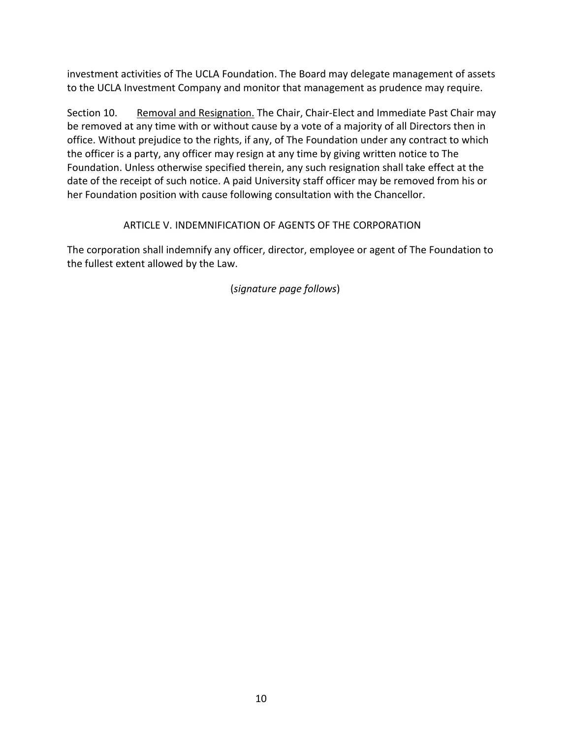investment activities of The UCLA Foundation. The Board may delegate management of assets to the UCLA Investment Company and monitor that management as prudence may require.

Section 10. Removal and Resignation. The Chair, Chair-Elect and Immediate Past Chair may be removed at any time with or without cause by a vote of a majority of all Directors then in office. Without prejudice to the rights, if any, of The Foundation under any contract to which the officer is a party, any officer may resign at any time by giving written notice to The Foundation. Unless otherwise specified therein, any such resignation shall take effect at the date of the receipt of such notice. A paid University staff officer may be removed from his or her Foundation position with cause following consultation with the Chancellor.

## ARTICLE V. INDEMNIFICATION OF AGENTS OF THE CORPORATION

The corporation shall indemnify any officer, director, employee or agent of The Foundation to the fullest extent allowed by the Law.

(*signature page follows*)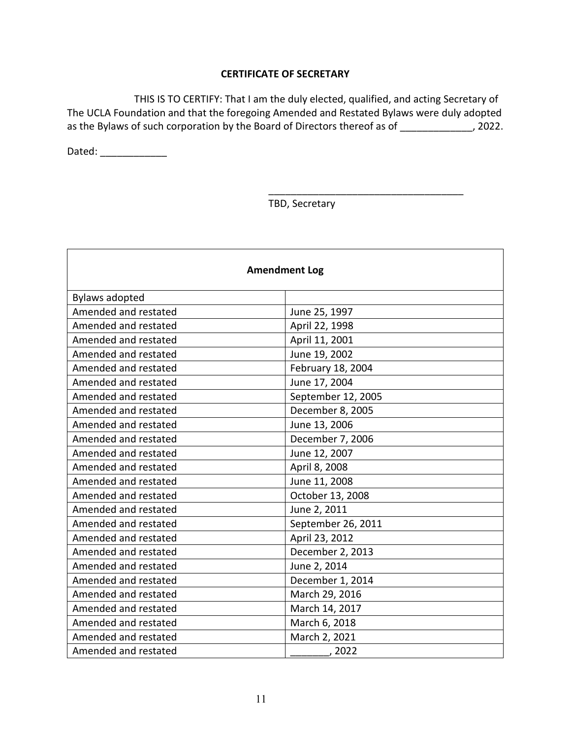#### **CERTIFICATE OF SECRETARY**

THIS IS TO CERTIFY: That I am the duly elected, qualified, and acting Secretary of The UCLA Foundation and that the foregoing Amended and Restated Bylaws were duly adopted as the Bylaws of such corporation by the Board of Directors thereof as of \_\_\_\_\_\_\_\_\_\_\_\_, 2022.

Dated: \_\_\_\_\_\_\_\_\_\_\_\_\_\_\_

TBD, Secretary

\_\_\_\_\_\_\_\_\_\_\_\_\_\_\_\_\_\_\_\_\_\_\_\_\_\_\_\_\_\_\_\_\_\_\_

| <b>Amendment Log</b>  |                    |  |  |  |  |  |  |  |  |
|-----------------------|--------------------|--|--|--|--|--|--|--|--|
| <b>Bylaws adopted</b> |                    |  |  |  |  |  |  |  |  |
| Amended and restated  | June 25, 1997      |  |  |  |  |  |  |  |  |
| Amended and restated  | April 22, 1998     |  |  |  |  |  |  |  |  |
| Amended and restated  | April 11, 2001     |  |  |  |  |  |  |  |  |
| Amended and restated  | June 19, 2002      |  |  |  |  |  |  |  |  |
| Amended and restated  | February 18, 2004  |  |  |  |  |  |  |  |  |
| Amended and restated  | June 17, 2004      |  |  |  |  |  |  |  |  |
| Amended and restated  | September 12, 2005 |  |  |  |  |  |  |  |  |
| Amended and restated  | December 8, 2005   |  |  |  |  |  |  |  |  |
| Amended and restated  | June 13, 2006      |  |  |  |  |  |  |  |  |
| Amended and restated  | December 7, 2006   |  |  |  |  |  |  |  |  |
| Amended and restated  | June 12, 2007      |  |  |  |  |  |  |  |  |
| Amended and restated  | April 8, 2008      |  |  |  |  |  |  |  |  |
| Amended and restated  | June 11, 2008      |  |  |  |  |  |  |  |  |
| Amended and restated  | October 13, 2008   |  |  |  |  |  |  |  |  |
| Amended and restated  | June 2, 2011       |  |  |  |  |  |  |  |  |
| Amended and restated  | September 26, 2011 |  |  |  |  |  |  |  |  |
| Amended and restated  | April 23, 2012     |  |  |  |  |  |  |  |  |
| Amended and restated  | December 2, 2013   |  |  |  |  |  |  |  |  |
| Amended and restated  | June 2, 2014       |  |  |  |  |  |  |  |  |
| Amended and restated  | December 1, 2014   |  |  |  |  |  |  |  |  |
| Amended and restated  | March 29, 2016     |  |  |  |  |  |  |  |  |
| Amended and restated  | March 14, 2017     |  |  |  |  |  |  |  |  |
| Amended and restated  | March 6, 2018      |  |  |  |  |  |  |  |  |
| Amended and restated  | March 2, 2021      |  |  |  |  |  |  |  |  |
| Amended and restated  | ,2022              |  |  |  |  |  |  |  |  |